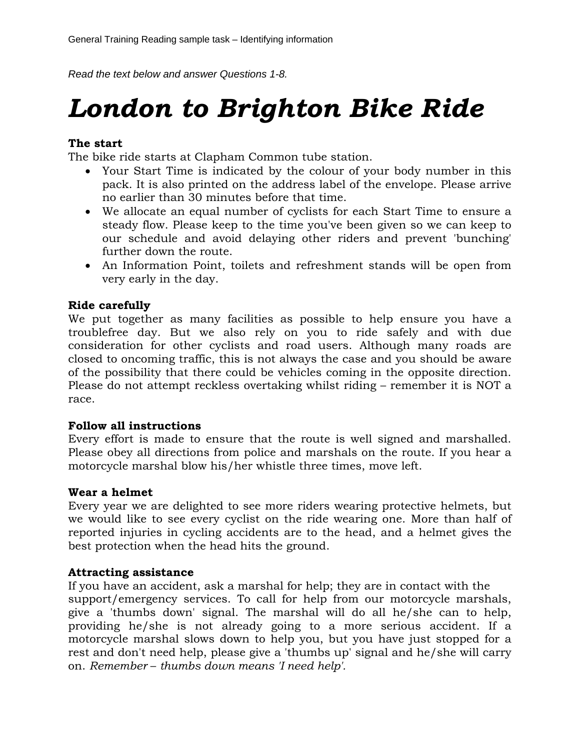*Read the text below and answer Questions 1-8.* 

# *London to Brighton Bike Ride*

## **The start**

The bike ride starts at Clapham Common tube station.

- Your Start Time is indicated by the colour of your body number in this pack. It is also printed on the address label of the envelope. Please arrive no earlier than 30 minutes before that time.
- We allocate an equal number of cyclists for each Start Time to ensure a steady flow. Please keep to the time you've been given so we can keep to our schedule and avoid delaying other riders and prevent 'bunching' further down the route.
- An Information Point, toilets and refreshment stands will be open from very early in the day.

## **Ride carefully**

We put together as many facilities as possible to help ensure you have a troublefree day. But we also rely on you to ride safely and with due consideration for other cyclists and road users. Although many roads are closed to oncoming traffic, this is not always the case and you should be aware of the possibility that there could be vehicles coming in the opposite direction. Please do not attempt reckless overtaking whilst riding – remember it is NOT a race.

## **Follow all instructions**

Every effort is made to ensure that the route is well signed and marshalled. Please obey all directions from police and marshals on the route. If you hear a motorcycle marshal blow his/her whistle three times, move left.

#### **Wear a helmet**

Every year we are delighted to see more riders wearing protective helmets, but we would like to see every cyclist on the ride wearing one. More than half of reported injuries in cycling accidents are to the head, and a helmet gives the best protection when the head hits the ground.

## **Attracting assistance**

If you have an accident, ask a marshal for help; they are in contact with the support/emergency services. To call for help from our motorcycle marshals, give a 'thumbs down' signal. The marshal will do all he/she can to help, providing he/she is not already going to a more serious accident. If a motorcycle marshal slows down to help you, but you have just stopped for a rest and don't need help, please give a 'thumbs up' signal and he/she will carry on. *Remember* – *thumbs down means 'I need help'.*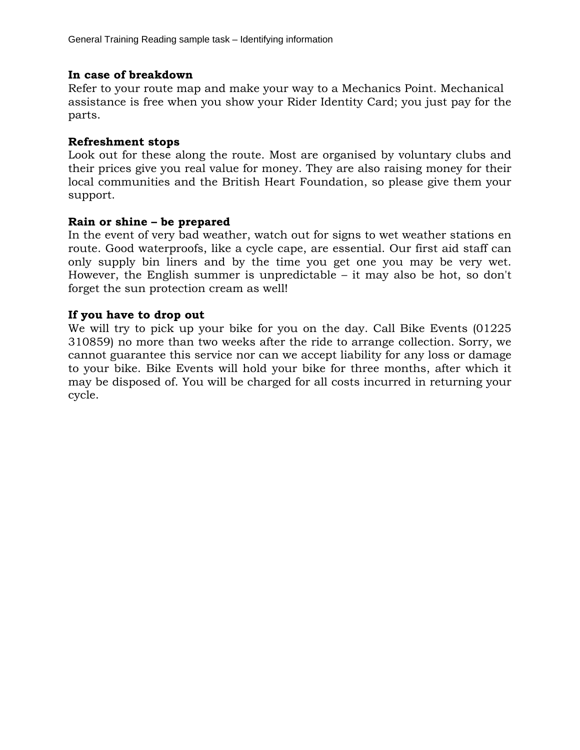#### **In case of breakdown**

Refer to your route map and make your way to a Mechanics Point. Mechanical assistance is free when you show your Rider Identity Card; you just pay for the parts.

#### **Refreshment stops**

Look out for these along the route. Most are organised by voluntary clubs and their prices give you real value for money. They are also raising money for their local communities and the British Heart Foundation, so please give them your support.

#### **Rain or shine – be prepared**

In the event of very bad weather, watch out for signs to wet weather stations en route. Good waterproofs, like a cycle cape, are essential. Our first aid staff can only supply bin liners and by the time you get one you may be very wet. However, the English summer is unpredictable – it may also be hot, so don't forget the sun protection cream as well!

## **If you have to drop out**

We will try to pick up your bike for you on the day. Call Bike Events (01225 310859) no more than two weeks after the ride to arrange collection. Sorry, we cannot guarantee this service nor can we accept liability for any loss or damage to your bike. Bike Events will hold your bike for three months, after which it may be disposed of. You will be charged for all costs incurred in returning your cycle.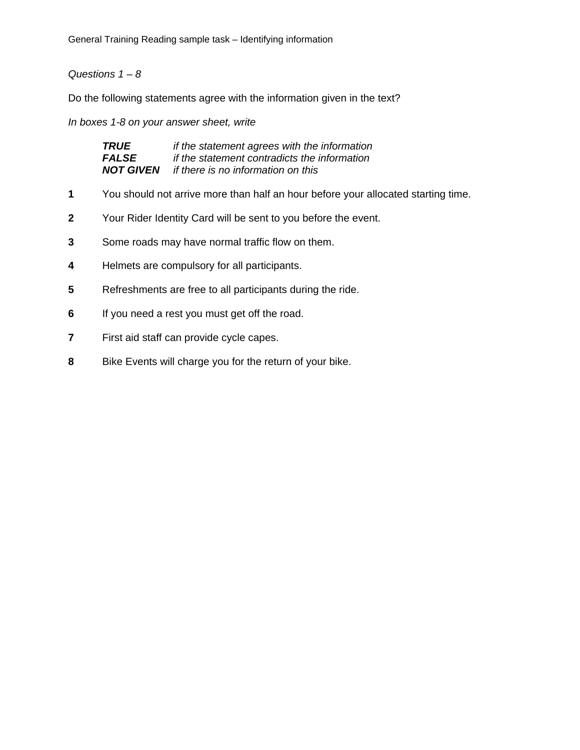General Training Reading sample task – Identifying information

## *Questions 1 – 8*

Do the following statements agree with the information given in the text?

*In boxes 1-8 on your answer sheet, write* 

| TRUE             | if the statement agrees with the information |
|------------------|----------------------------------------------|
| <b>FALSE</b>     | if the statement contradicts the information |
| <b>NOT GIVEN</b> | if there is no information on this           |

- **1** You should not arrive more than half an hour before your allocated starting time.
- **2** Your Rider Identity Card will be sent to you before the event.
- **3** Some roads may have normal traffic flow on them.
- **4** Helmets are compulsory for all participants.
- **5** Refreshments are free to all participants during the ride.
- **6** If you need a rest you must get off the road.
- **7** First aid staff can provide cycle capes.
- **8** Bike Events will charge you for the return of your bike.